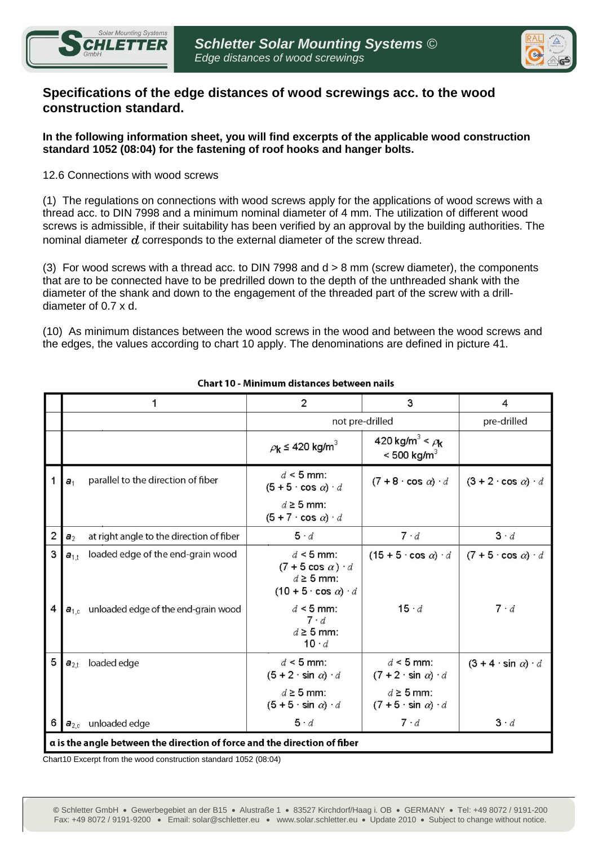



# **Specifications of the edge distances of wood screwings acc. to the wood construction standard.**

## **In the following information sheet, you will find excerpts of the applicable wood construction standard 1052 (08:04) for the fastening of roof hooks and hanger bolts.**

# 12.6 Connections with wood screws

(1) The regulations on connections with wood screws apply for the applications of wood screws with a thread acc. to DIN 7998 and a minimum nominal diameter of 4 mm. The utilization of different wood screws is admissible, if their suitability has been verified by an approval by the building authorities. The nominal diameter *d* corresponds to the external diameter of the screw thread.

(3) For wood screws with a thread acc. to DIN 7998 and d > 8 mm (screw diameter), the components that are to be connected have to be predrilled down to the depth of the unthreaded shank with the diameter of the shank and down to the engagement of the threaded part of the screw with a drilldiameter of 0.7 x d.

(10) As minimum distances between the wood screws in the wood and between the wood screws and the edges, the values according to chart 10 apply. The denominations are defined in picture 41.

|                                                                          |                                                            | $\overline{2}$                                                                                            | 3                                                                   | 4                                   |  |
|--------------------------------------------------------------------------|------------------------------------------------------------|-----------------------------------------------------------------------------------------------------------|---------------------------------------------------------------------|-------------------------------------|--|
|                                                                          |                                                            | not pre-drilled                                                                                           |                                                                     | pre-drilled                         |  |
|                                                                          |                                                            | $\rho_{\mathbf{k}} \leq 420 \text{ kg/m}^3$                                                               | 420 kg/m <sup>3</sup> < $\rho_{\bf k}$<br>$< 500$ kg/m <sup>3</sup> |                                     |  |
| 1                                                                        | parallel to the direction of fiber<br>a <sub>1</sub>       | $d \leq 5$ mm:<br>$(5+5 \cdot \cos \alpha) \cdot d$                                                       | $(7+8 \cdot \cos \alpha) \cdot d$                                   | $(3 + 2 \cdot \cos \alpha) \cdot d$ |  |
|                                                                          |                                                            | $d \geq 5$ mm:<br>$(5+7 \cdot \cos \alpha) \cdot d$                                                       |                                                                     |                                     |  |
| $\overline{2}$                                                           | at right angle to the direction of fiber<br>a <sub>2</sub> | 5 d                                                                                                       | 7 d                                                                 | $3 \cdot d$                         |  |
| 3                                                                        | loaded edge of the end-grain wood<br>$a_{1,t}$             | $d \leq 5$ mm:<br>$(7 + 5 \cos \alpha) \cdot d$<br>$d \geq 5$ mm:<br>$(10 + 5 \cdot \cos \alpha) \cdot d$ | $(15 + 5 \cdot \cos \alpha) \cdot d$                                | $(7 + 5 \cdot \cos \alpha) \cdot d$ |  |
| 4                                                                        | unloaded edge of the end-grain wood<br>$a_{1,c}$           | $d \leq 5$ mm:<br>$7 \cdot d$<br>$d \geq 5$ mm:<br>10 d                                                   | $15 \cdot d$                                                        | $7 \cdot d$                         |  |
| 5                                                                        | loaded edge<br>$a_{2,t}$                                   | $d \leq 5$ mm:<br>$(5+2 \cdot \sin \alpha) \cdot d$                                                       | $d \leq 5$ mm:<br>$(7 + 2 \cdot \sin \alpha) \cdot d$               | $(3 + 4 \cdot \sin \alpha) \cdot d$ |  |
|                                                                          |                                                            | $d \geq 5$ mm:<br>$(5+5 \cdot \sin \alpha) \cdot d$                                                       | $d \geq 5$ mm:<br>$(7 + 5 \cdot \sin \alpha) \cdot d$               |                                     |  |
| 6                                                                        | $a_{2,c}$ unloaded edge                                    | 5 d                                                                                                       | $7 \cdot d$                                                         | $3 \cdot d$                         |  |
| a is the angle between the direction of force and the direction of fiber |                                                            |                                                                                                           |                                                                     |                                     |  |

#### Chart 10 - Minimum distances between nails

Chart10 Excerpt from the wood construction standard 1052 (08:04)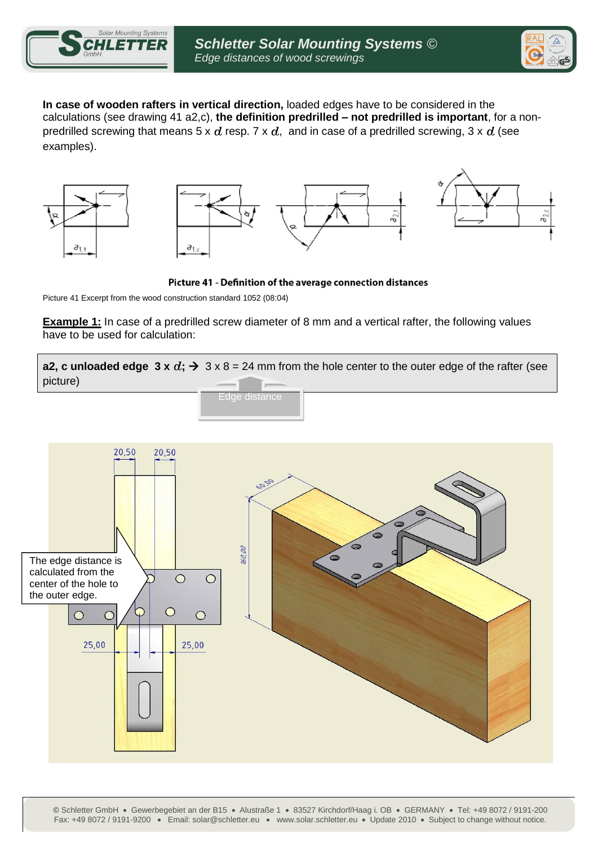



**In case of wooden rafters in vertical direction,** loaded edges have to be considered in the calculations (see drawing 41 a2,c), **the definition predrilled – not predrilled is important**, for a nonpredrilled screwing that means 5 x  $d$  resp. 7 x  $d$ , and in case of a predrilled screwing, 3 x  $d$  (see examples).







Picture 41 - Definition of the average connection distances

Picture 41 Excerpt from the wood construction standard 1052 (08:04)

**Example 1:** In case of a predrilled screw diameter of 8 mm and a vertical rafter, the following values have to be used for calculation:

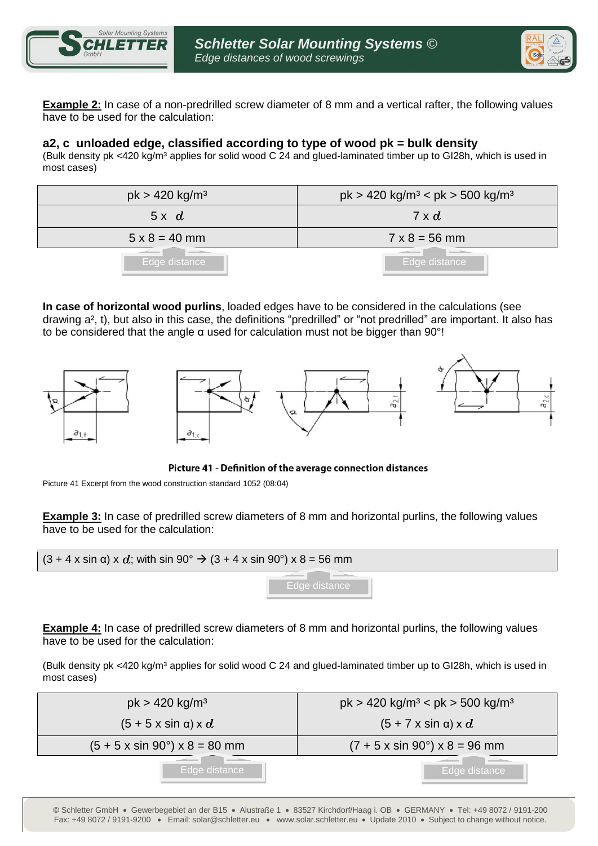



**Example 2:** In case of a non-predrilled screw diameter of 8 mm and a vertical rafter, the following values have to be used for the calculation:

## **a2, c unloaded edge, classified according to type of wood pk = bulk density**

(Bulk density pk <420 kg/m<sup>3</sup> applies for solid wood C 24 and glued-laminated timber up to GI28h, which is used in most cases)

| $pk > 420$ kg/m <sup>3</sup> | $pk > 420$ kg/m <sup>3</sup> < pk > 500 kg/m <sup>3</sup> |
|------------------------------|-----------------------------------------------------------|
| 5x d                         | $7 \times d$                                              |
| $5 \times 8 = 40$ mm         | $7 \times 8 = 56$ mm                                      |
| Edge distance                | Edge distance                                             |

**In case of horizontal wood purlins**, loaded edges have to be considered in the calculations (see drawing a², t), but also in this case, the definitions "predrilled" or "not predrilled" are important. It also has to be considered that the angle  $\alpha$  used for calculation must not be bigger than 90 $^{\circ}!$ 



Picture 41 - Definition of the average connection distances

Picture 41 Excerpt from the wood construction standard 1052 (08:04)

**Example 3:** In case of predrilled screw diameters of 8 mm and horizontal purlins, the following values have to be used for the calculation:

$$
(3 + 4 \times \sin \alpha) \times d
$$
; with  $\sin 90^\circ \rightarrow (3 + 4 \times \sin 90^\circ) \times 8 = 56$  mm

**Example 4:** In case of predrilled screw diameters of 8 mm and horizontal purlins, the following values have to be used for the calculation:

(Bulk density pk <420 kg/m<sup>3</sup> applies for solid wood C 24 and glued-laminated timber up to GI28h, which is used in most cases)

| $pk > 420$ kg/m <sup>3</sup>                    | $pk > 420$ kg/m <sup>3</sup> < pk > 500 kg/m <sup>3</sup> |
|-------------------------------------------------|-----------------------------------------------------------|
| $(5 + 5 \times \sin \alpha) \times d$           | $(5 + 7 \times \sin \alpha) \times d$                     |
| $(5 + 5 \times \sin 90^\circ) \times 8 = 80$ mm | $(7 + 5 \times \sin 90^\circ) \times 8 = 96$ mm           |
| Edge distance                                   | Edge distance                                             |